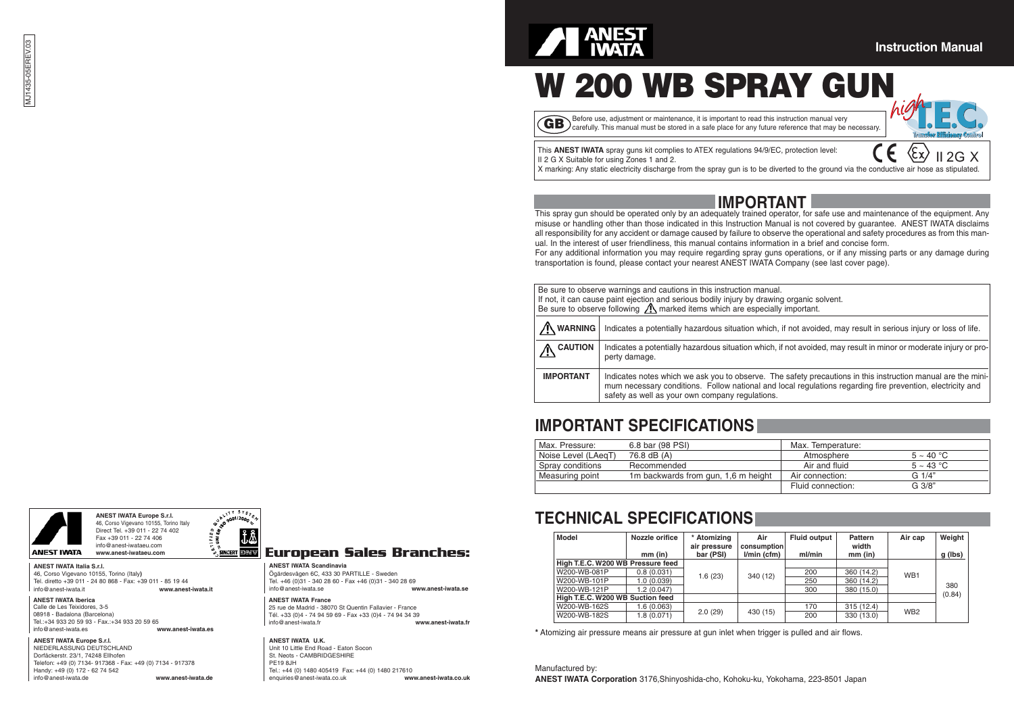#### **Instruction Manual**

# **W 200 WB SPRAY GUN**

**GB** efore use, adjustment or maintenance, it is important to read this instruction manual very carefully. This manual must be stored in a safe place for any future reference that may be necessary.



 $2G X$ 

This **ANEST IWATA** spray guns kit complies to ATEX regulations 94/9/EC, protection level: II 2 G X Suitable for using Zones 1 and 2.

X marking: Any static electricity discharge from the spray gun is to be diverted to the ground via the conductive air hose as stipulated.

### **IMPORTANT**

This spray gun should be operated only by an adequately trained operator, for safe use and maintenance of the equipment. Any misuse or handling other than those indicated in this Instruction Manual is not covered by guarantee. ANEST IWATA disclaims all responsibility for any accident or damage caused by failure to observe the operational and safety procedures as from this manual. In the interest of user friendliness, this manual contains information in a brief and concise form.

For any additional information you may require regarding spray guns operations, or if any missing parts or any damage during transportation is found, please contact your nearest ANEST IWATA Company (see last cover page).

| Be sure to observe warnings and cautions in this instruction manual.                                                           |                                                                                                                   |  |  |  |  |  |  |
|--------------------------------------------------------------------------------------------------------------------------------|-------------------------------------------------------------------------------------------------------------------|--|--|--|--|--|--|
|                                                                                                                                | If not, it can cause paint ejection and serious bodily injury by drawing organic solvent.                         |  |  |  |  |  |  |
|                                                                                                                                |                                                                                                                   |  |  |  |  |  |  |
|                                                                                                                                | Be sure to observe following $\Lambda$ marked items which are especially important.                               |  |  |  |  |  |  |
|                                                                                                                                |                                                                                                                   |  |  |  |  |  |  |
|                                                                                                                                |                                                                                                                   |  |  |  |  |  |  |
| /\ WARNING<br>Indicates a potentially hazardous situation which, if not avoided, may result in serious injury or loss of life. |                                                                                                                   |  |  |  |  |  |  |
|                                                                                                                                |                                                                                                                   |  |  |  |  |  |  |
|                                                                                                                                |                                                                                                                   |  |  |  |  |  |  |
| <b>CAUTION</b>                                                                                                                 | Indicates a potentially hazardous situation which, if not avoided, may result in minor or moderate injury or pro- |  |  |  |  |  |  |
|                                                                                                                                | perty damage.                                                                                                     |  |  |  |  |  |  |
|                                                                                                                                |                                                                                                                   |  |  |  |  |  |  |
|                                                                                                                                |                                                                                                                   |  |  |  |  |  |  |
| <b>IMPORTANT</b>                                                                                                               | Indicates notes which we ask you to observe. The safety precautions in this instruction manual are the mini-      |  |  |  |  |  |  |
|                                                                                                                                |                                                                                                                   |  |  |  |  |  |  |
|                                                                                                                                | mum necessary conditions. Follow national and local regulations regarding fire prevention, electricity and        |  |  |  |  |  |  |
|                                                                                                                                | safety as well as your own company regulations.                                                                   |  |  |  |  |  |  |
|                                                                                                                                |                                                                                                                   |  |  |  |  |  |  |

### **IMPORTANT SPECIFICATIONS**

| Max. Pressure:      | 6.8 bar (98 PSI)                    | Max. Temperature: |                 |
|---------------------|-------------------------------------|-------------------|-----------------|
| Noise Level (LAegT) | 76.8 dB (A)                         | Atmosphere        | $5 \sim 40 °C$  |
| Spray conditions    | Recommended                         | Air and fluid     | $5 \sim 43$ °C  |
| Measuring point     | 1m backwards from gun, 1,6 m height | Air connection:   | G1/4"           |
|                     |                                     | Fluid connection: | $G \frac{3}{8}$ |

### **TECHNICAL SPECIFICATIONS**

| <b>Model</b>                      | Nozzle orifice | * Atomizing<br>air pressure | Air<br>consumption | <b>Fluid output</b> | Pattern<br>width | Air cap         | Weight  |
|-----------------------------------|----------------|-----------------------------|--------------------|---------------------|------------------|-----------------|---------|
|                                   | mm (in)        | bar (PSI)                   | $l/min$ (cfm)      | ml/min              | $mm$ (in)        |                 | g (lbs) |
| High T.E.C. W200 WB Pressure feed |                |                             |                    |                     |                  |                 |         |
| W200-WB-081P                      | 0.8(0.031)     | 1.6(23)                     | 340 (12)           | 200                 | 360 (14.2)       | WB <sub>1</sub> |         |
| W200-WB-101P                      | 1.0(0.039)     |                             |                    | 250                 | 360 (14.2)       |                 |         |
| W200-WB-121P                      | 1.2(0.047)     |                             |                    | 300                 | 380 (15.0)       |                 | 380     |
| High T.E.C. W200 WB Suction feed  |                |                             |                    |                     |                  |                 | (0.84)  |
| W200-WB-162S                      | 1.6(0.063)     |                             |                    | 170                 | 315(12.4)        | WB <sub>2</sub> |         |
| W200-WB-182S                      | 1.8(0.071)     | 2.0(29)                     | 430 (15)           | 200                 | 330 (13.0)       |                 |         |

**\*** Atomizing air pressure means air pressure at gun inlet when trigger is pulled and air flows.

Manufactured by: **ANEST IWATA Corporation** 3176,Shinyoshida-cho, Kohoku-ku, Yokohama, 223-8501 Japan





**ANEST IWATA Italia S.r.l.** 46, Corso Vigevano 10155, Torino (Italy**)** Tel. diretto +39 011 - 24 80 868 - Fax: +39 011 - 85 19 44 info@anest-iwata.it **www.anest-iwata.it**

#### **ANEST IWATA Iberica**

Calle de Les Teixidores, 3-5 08918 - Badalona (Barcelona) Tel.:+34 933 20 59 93 - Fax.:+34 933 20 59 65 info@anest-iwata.es **www.anest-iwata.es**

#### **ANEST IWATA Europe S.r.l.** NIEDERLASSUNG DEUTSCHLAND Dorfäckerstr. 23/1, 74248 Ellhofen Telefon: +49 (0) 7134- 917368 - Fax: +49 (0) 7134 - 917378 Handy: +49 (0) 172 - 62 74 542 info@anest-iwata.de **www.anest-iwata.de**

**SINGERT EDRAW** 

#### **European Sales Branches:**

**ANEST IWATA Scandinavia**  Ögärdesvägen 6C, 433 30 PARTILLE - Sweden Tel. +46 (0)31 - 340 28 60 - Fax +46 (0)31 - 340 28 69 info@anest-iwata.se **www.anest-iwata.se**

**ANEST IWATA France**  25 rue de Madrid - 38070 St Quentin Fallavier - France

Tél. +33 (0)4 - 74 94 59 69 - Fax +33 (0)4 - 74 94 34 39<br>info@anest-iwata fr info@anest-iwata.fr **www.anest-iwata.fr**

#### **ANEST IWATA U.K.**

Unit 10 Little End Road - Eaton Socon St. Neots - CAMBRIDGESHIRE PE19 8JH Tel.: +44 (0) 1480 405419 Fax: +44 (0) 1480 217610<br>enquiries@anest-iwata.co.uk www.anest-iwata.co.uk enquiries@anest-iwata.co.uk **www.anest-iwata.co.uk**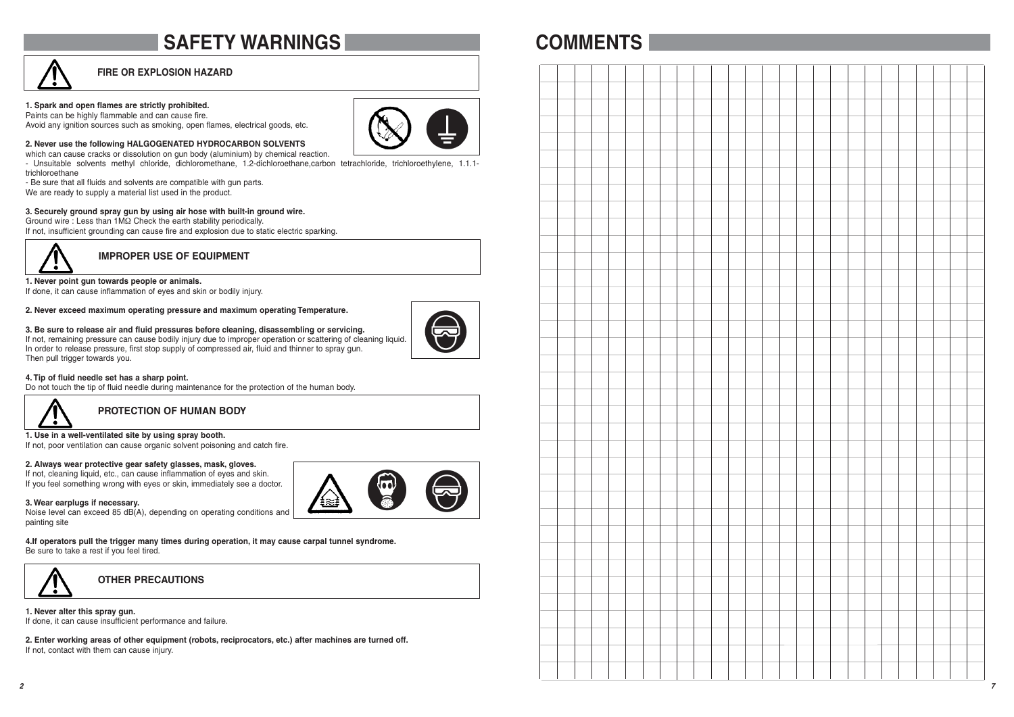### **SAFETY WARNINGS**

#### **FIRE OR EXPLOSION HAZARD**

#### **1. Spark and open flames are strictly prohibited.**

Paints can be highly flammable and can cause fire. Avoid any ignition sources such as smoking, open flames, electrical goods, etc.



**2. Never use the following HALGOGENATED HYDROCARBON SOLVENTS**  which can cause cracks or dissolution on gun body (aluminium) by chemical reaction.

- Unsuitable solvents methyl chloride, dichloromethane, 1.2-dichloroethane,carbon tetrachloride, trichloroethylene, 1.1.1 trichloroethane

- Be sure that all fluids and solvents are compatible with gun parts.

We are ready to supply a material list used in the product.

#### **3. Securely ground spray gun by using air hose with built-in ground wire.**

Ground wire : Less than 1MΩ Check the earth stability periodically.

If not, insufficient grounding can cause fire and explosion due to static electric sparking.



**IMPROPER USE OF EQUIPMENT**

#### **1. Never point gun towards people or animals.**

If done, it can cause inflammation of eyes and skin or bodily injury.

#### **2. Never exceed maximum operating pressure and maximum operating Temperature.**



**3. Be sure to release air and fluid pressures before cleaning, disassembling or servicing.** If not, remaining pressure can cause bodily injury due to improper operation or scattering of cleaning liquid. In order to release pressure, first stop supply of compressed air, fluid and thinner to spray gun. Then pull trigger towards you.

#### **4. Tip of fluid needle set has a sharp point.**

Do not touch the tip of fluid needle during maintenance for the protection of the human body.



**PROTECTION OF HUMAN BODY**

#### **1. Use in a well-ventilated site by using spray booth.**

If not, poor ventilation can cause organic solvent poisoning and catch fire.

#### **2. Always wear protective gear safety glasses, mask, gloves.**

If not, cleaning liquid, etc., can cause inflammation of eyes and skin. If you feel something wrong with eyes or skin, immediately see a doctor.

#### **3. Wear earplugs if necessary.**

Noise level can exceed 85 dB(A), depending on operating conditions and painting site

**4.If operators pull the trigger many times during operation, it may cause carpal tunnel syndrome.** Be sure to take a rest if you feel tired.



**OTHER PRECAUTIONS**

**1. Never alter this spray gun.** If done, it can cause insufficient performance and failure.

**2. Enter working areas of other equipment (robots, reciprocators, etc.) after machines are turned off.** If not, contact with them can cause injury.

### **COMMENTS**

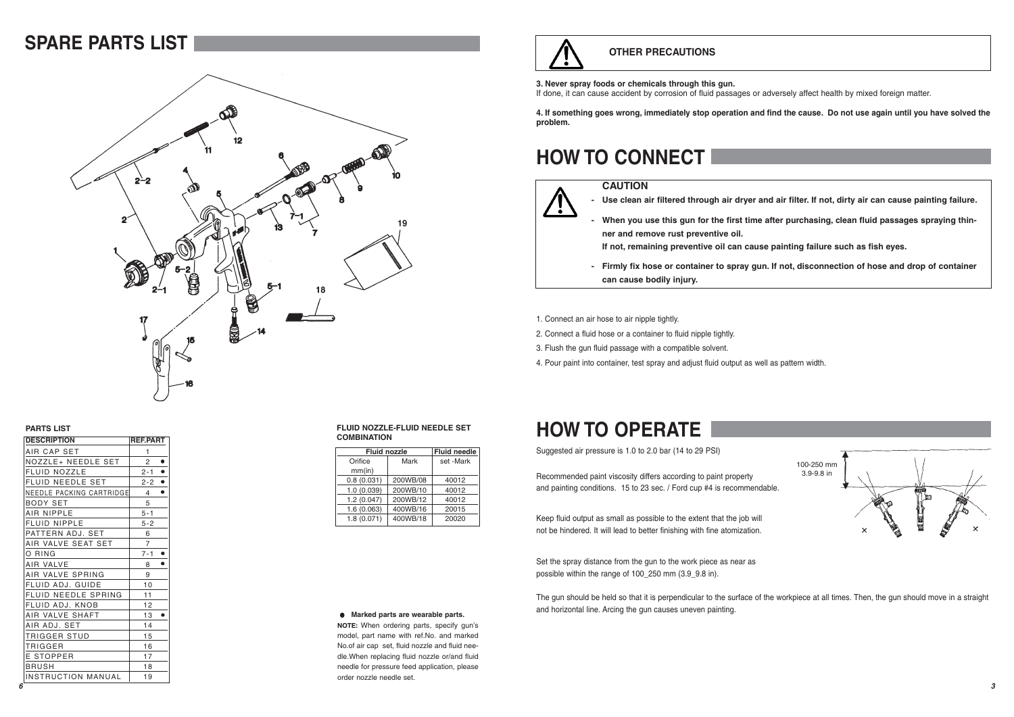### **SPARE PARTS LIST**



#### **PARTS LIST**

| ו טום טווחת               |                     |  |  |  |  |  |
|---------------------------|---------------------|--|--|--|--|--|
| <b>DESCRIPTION</b>        | <b>REF.PART</b>     |  |  |  |  |  |
| AIR CAP SET               | 1                   |  |  |  |  |  |
| NOZZLE+ NEEDLE SET        | ٠<br>$\overline{2}$ |  |  |  |  |  |
| <b>FLUID NOZZLE</b>       | ٠<br>$2 - 1$        |  |  |  |  |  |
| FLUID NEEDLE SET          | ٠<br>$2 - 2$        |  |  |  |  |  |
| NEEDLE PACKING CARTRIDGE  | ٠<br>$\overline{4}$ |  |  |  |  |  |
| BODY SET                  | 5                   |  |  |  |  |  |
| <b>AIR NIPPLE</b>         | $5 - 1$             |  |  |  |  |  |
| <b>FLUID NIPPLE</b>       | $5 - 2$             |  |  |  |  |  |
| PATTERN ADJ. SET          | 6                   |  |  |  |  |  |
| AIR VALVE SEAT SET        | 7                   |  |  |  |  |  |
| O RING                    | ٠<br>$7 - 1$        |  |  |  |  |  |
| AIR VALVE                 | ٠<br>8              |  |  |  |  |  |
| AIR VALVE SPRING          | 9                   |  |  |  |  |  |
| FLUID ADJ. GUIDE          | 10                  |  |  |  |  |  |
| FLUID NEEDLE SPRING       | 11                  |  |  |  |  |  |
| FLUID ADJ. KNOB           | 12                  |  |  |  |  |  |
| AIR VALVE SHAFT           | 13                  |  |  |  |  |  |
| AIR ADJ. SET              | 14                  |  |  |  |  |  |
| TRIGGER STUD              | 15                  |  |  |  |  |  |
| TRIGGER                   | 16                  |  |  |  |  |  |
| E STOPPER                 | 17                  |  |  |  |  |  |
| BRUSH                     | 18                  |  |  |  |  |  |
| <b>INSTRUCTION MANUAL</b> | 19                  |  |  |  |  |  |

#### **FLUID NOZZLE-FLUID NEEDLE SET COMBINATION**

| <b>Fluid nozzle</b> |           |  |
|---------------------|-----------|--|
| Mark                | set -Mark |  |
|                     |           |  |
| 200WB/08            | 40012     |  |
| 200WB/10            | 40012     |  |
| 200WB/12            | 40012     |  |
| 400WB/16            | 20015     |  |
| 400WB/18            | 20020     |  |
|                     |           |  |

# **HOW TO OPERATE**

Suggested air pressure is 1.0 to 2.0 bar (14 to 29 PSI)

Recommended paint viscosity differs according to paint property and painting conditions. 15 to 23 sec. / Ford cup #4 is recommendable.

Keep fluid output as small as possible to the extent that the job will not be hindered. It will lead to better finishing with fine atomization.

Set the spray distance from the gun to the work piece as near as possible within the range of 100\_250 mm (3.9\_9.8 in).

The gun should be held so that it is perpendicular to the surface of the workpiece at all times. Then, the gun should move in a straight and horizontal line. Arcing the gun causes uneven painting.

# **OTHER PRECAUTIONS**

#### **3. Never spray foods or chemicals through this gun.**

If done, it can cause accident by corrosion of fluid passages or adversely affect health by mixed foreign matter.

**4. If something goes wrong, immediately stop operation and find the cause. Do not use again until you have solved the problem.**

### **HOW TO CONNECT**

#### **CAUTION**

- **Use clean air filtered through air dryer and air filter. If not, dirty air can cause painting failure.**
- **When you use this gun for the first time after purchasing, clean fluid passages spraying thinner and remove rust preventive oil.**

**If not, remaining preventive oil can cause painting failure such as fish eyes.**

- **Firmly fix hose or container to spray gun. If not, disconnection of hose and drop of container can cause bodily injury.**
- 1. Connect an air hose to air nipple tightly.
- 2. Connect a fluid hose or a container to fluid nipple tightly.
- 3. Flush the gun fluid passage with a compatible solvent.
- 4. Pour paint into container, test spray and adjust fluid output as well as pattern width.

# 100-250 mm 3.9-9.8 in

**NOTE:** When ordering parts, specify gun's model, part name with ref.No. and marked No.of air cap set, fluid nozzle and fluid needle.When replacing fluid nozzle or/and fluid needle for pressure feed application, please order nozzle needle set.